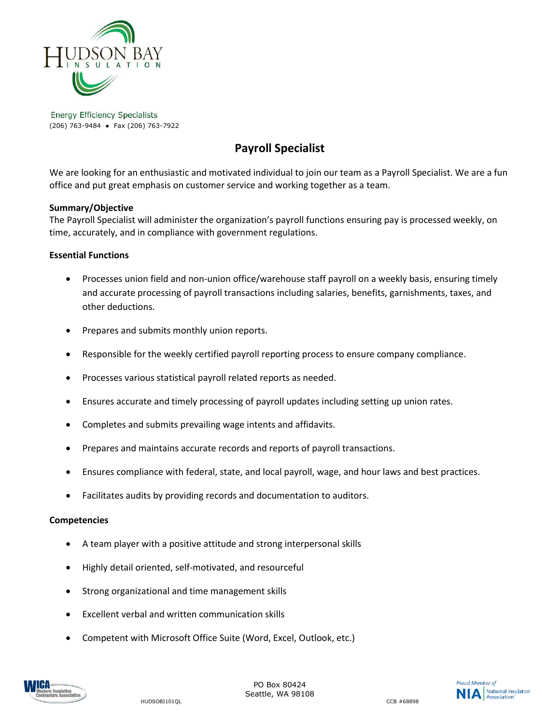

**Energy Efficiency Specialists** (206) 763-9484 ● Fax (206) 763-7922

# **Payroll Specialist**

We are looking for an enthusiastic and motivated individual to join our team as a Payroll Specialist. We are a fun office and put great emphasis on customer service and working together as a team.

# **Summary/Objective**

The Payroll Specialist will administer the organization's payroll functions ensuring pay is processed weekly, on time, accurately, and in compliance with government regulations.

## **Essential Functions**

- Processes union field and non-union office/warehouse staff payroll on a weekly basis, ensuring timely and accurate processing of payroll transactions including salaries, benefits, garnishments, taxes, and other deductions.
- Prepares and submits monthly union reports.
- Responsible for the weekly certified payroll reporting process to ensure company compliance.
- Processes various statistical payroll related reports as needed.
- Ensures accurate and timely processing of payroll updates including setting up union rates.
- Completes and submits prevailing wage intents and affidavits.
- Prepares and maintains accurate records and reports of payroll transactions.
- Ensures compliance with federal, state, and local payroll, wage, and hour laws and best practices.
- Facilitates audits by providing records and documentation to auditors.

#### **Competencies**

- A team player with a positive attitude and strong interpersonal skills
- Highly detail oriented, self-motivated, and resourceful
- Strong organizational and time management skills
- Excellent verbal and written communication skills
- Competent with Microsoft Office Suite (Word, Excel, Outlook, etc.)



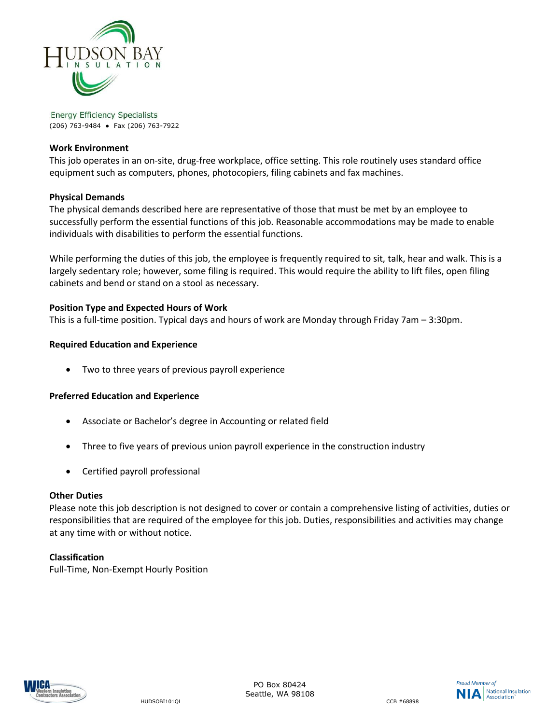

**Energy Efficiency Specialists** (206) 763-9484 ● Fax (206) 763-7922

### **Work Environment**

This job operates in an on-site, drug-free workplace, office setting. This role routinely uses standard office equipment such as computers, phones, photocopiers, filing cabinets and fax machines.

## **Physical Demands**

The physical demands described here are representative of those that must be met by an employee to successfully perform the essential functions of this job. Reasonable accommodations may be made to enable individuals with disabilities to perform the essential functions.

While performing the duties of this job, the employee is frequently required to sit, talk, hear and walk. This is a largely sedentary role; however, some filing is required. This would require the ability to lift files, open filing cabinets and bend or stand on a stool as necessary.

# **Position Type and Expected Hours of Work**

This is a full-time position. Typical days and hours of work are Monday through Friday 7am – 3:30pm.

## **Required Education and Experience**

Two to three years of previous payroll experience

#### **Preferred Education and Experience**

- Associate or Bachelor's degree in Accounting or related field
- Three to five years of previous union payroll experience in the construction industry
- Certified payroll professional

#### **Other Duties**

Please note this job description is not designed to cover or contain a comprehensive listing of activities, duties or responsibilities that are required of the employee for this job. Duties, responsibilities and activities may change at any time with or without notice.

# **Classification**

Full-Time, Non-Exempt Hourly Position